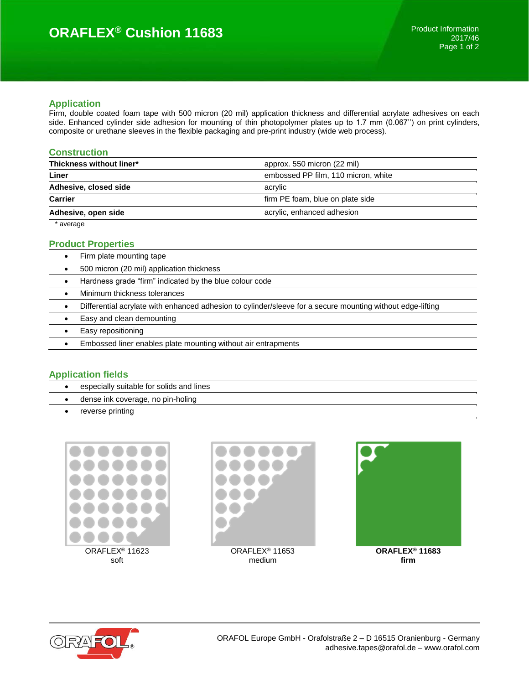# **ORAFLEX® Cushion 11683**

#### **Application**

Firm, double coated foam tape with 500 micron (20 mil) application thickness and differential acrylate adhesives on each side. Enhanced cylinder side adhesion for mounting of thin photopolymer plates up to 1.7 mm (0.067'') on print cylinders, composite or urethane sleeves in the flexible packaging and pre-print industry (wide web process).

## **Construction**

| Thickness without liner* | approx. 550 micron (22 mil)         |
|--------------------------|-------------------------------------|
| Liner                    | embossed PP film, 110 micron, white |
| Adhesive, closed side    | acrylic                             |
| <b>Carrier</b>           | firm PE foam, blue on plate side    |
| Adhesive, open side      | acrylic, enhanced adhesion          |
| * average                |                                     |

## **Product Properties**

| Firm plate mounting tape                                                                                   |
|------------------------------------------------------------------------------------------------------------|
| 500 micron (20 mil) application thickness                                                                  |
| Hardness grade "firm" indicated by the blue colour code                                                    |
| Minimum thickness tolerances                                                                               |
| Differential acrylate with enhanced adhesion to cylinder/sleeve for a secure mounting without edge-lifting |
| Easy and clean demounting                                                                                  |
| Easy repositioning                                                                                         |
| Embossed liner enables plate mounting without air entrapments                                              |
|                                                                                                            |

## **Application fields**

- especially suitable for solids and lines
- dense ink coverage, no pin-holing
- reverse printing







**firm**